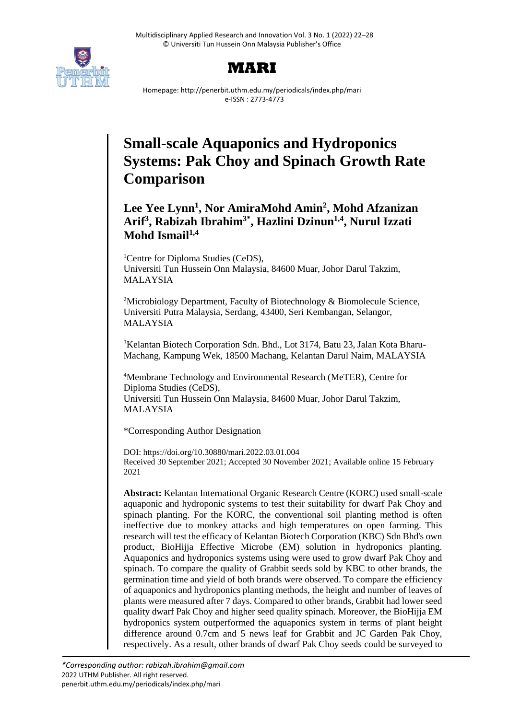

## **MARI**

Homepage: http://penerbit.uthm.edu.my/periodicals/index.php/mari e-ISSN : 2773-4773

# **Small-scale Aquaponics and Hydroponics Systems: Pak Choy and Spinach Growth Rate Comparison**

### **Lee Yee Lynn<sup>1</sup> , Nor AmiraMohd Amin<sup>2</sup> , Mohd Afzanizan Arif<sup>3</sup> , Rabizah Ibrahim3\* , Hazlini Dzinun1,4, Nurul Izzati Mohd Ismail1,4**

<sup>1</sup>Centre for Diploma Studies (CeDS), Universiti Tun Hussein Onn Malaysia, 84600 Muar, Johor Darul Takzim, MALAYSIA

<sup>2</sup>Microbiology Department, Faculty of Biotechnology & Biomolecule Science, Universiti Putra Malaysia, Serdang, 43400, Seri Kembangan, Selangor, MALAYSIA

3Kelantan Biotech Corporation Sdn. Bhd., Lot 3174, Batu 23, Jalan Kota Bharu-Machang, Kampung Wek, 18500 Machang, Kelantan Darul Naim, MALAYSIA

<sup>4</sup>Membrane Technology and Environmental Research (MeTER), Centre for Diploma Studies (CeDS),

Universiti Tun Hussein Onn Malaysia, 84600 Muar, Johor Darul Takzim, MALAYSIA

\*Corresponding Author Designation

DOI: https://doi.org/10.30880/mari.2022.03.01.004 Received 30 September 2021; Accepted 30 November 2021; Available online 15 February 2021

**Abstract:** Kelantan International Organic Research Centre (KORC) used small-scale aquaponic and hydroponic systems to test their suitability for dwarf Pak Choy and spinach planting. For the KORC, the conventional soil planting method is often ineffective due to monkey attacks and high temperatures on open farming. This research will test the efficacy of Kelantan Biotech Corporation (KBC) Sdn Bhd's own product, BioHijja Effective Microbe (EM) solution in hydroponics planting. Aquaponics and hydroponics systems using were used to grow dwarf Pak Choy and spinach. To compare the quality of Grabbit seeds sold by KBC to other brands, the germination time and yield of both brands were observed. To compare the efficiency of aquaponics and hydroponics planting methods, the height and number of leaves of plants were measured after 7 days. Compared to other brands, Grabbit had lower seed quality dwarf Pak Choy and higher seed quality spinach. Moreover, the BioHijja EM hydroponics system outperformed the aquaponics system in terms of plant height difference around 0.7cm and 5 news leaf for Grabbit and JC Garden Pak Choy, respectively. As a result, other brands of dwarf Pak Choy seeds could be surveyed to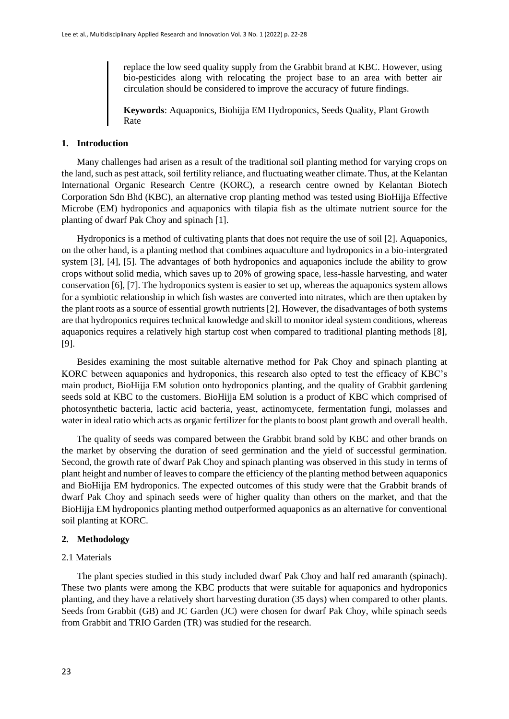replace the low seed quality supply from the Grabbit brand at KBC. However, using bio-pesticides along with relocating the project base to an area with better air circulation should be considered to improve the accuracy of future findings.

**Keywords**: Aquaponics, Biohijja EM Hydroponics, Seeds Quality, Plant Growth Rate

#### **1. Introduction**

Many challenges had arisen as a result of the traditional soil planting method for varying crops on the land, such as pest attack, soil fertility reliance, and fluctuating weather climate. Thus, at the Kelantan International Organic Research Centre (KORC), a research centre owned by Kelantan Biotech Corporation Sdn Bhd (KBC), an alternative crop planting method was tested using BioHijja Effective Microbe (EM) hydroponics and aquaponics with tilapia fish as the ultimate nutrient source for the planting of dwarf Pak Choy and spinach [1].

Hydroponics is a method of cultivating plants that does not require the use of soil [2]. Aquaponics, on the other hand, is a planting method that combines aquaculture and hydroponics in a bio-intergrated system [3], [4], [5]. The advantages of both hydroponics and aquaponics include the ability to grow crops without solid media, which saves up to 20% of growing space, less-hassle harvesting, and water conservation [6], [7]. The hydroponics system is easier to set up, whereas the aquaponics system allows for a symbiotic relationship in which fish wastes are converted into nitrates, which are then uptaken by the plant roots as a source of essential growth nutrients [2]. However, the disadvantages of both systems are that hydroponics requires technical knowledge and skill to monitor ideal system conditions, whereas aquaponics requires a relatively high startup cost when compared to traditional planting methods [8], [9].

Besides examining the most suitable alternative method for Pak Choy and spinach planting at KORC between aquaponics and hydroponics, this research also opted to test the efficacy of KBC's main product, BioHijja EM solution onto hydroponics planting, and the quality of Grabbit gardening seeds sold at KBC to the customers. BioHijja EM solution is a product of KBC which comprised of photosynthetic bacteria, lactic acid bacteria, yeast, actinomycete, fermentation fungi, molasses and water in ideal ratio which acts as organic fertilizer for the plants to boost plant growth and overall health.

The quality of seeds was compared between the Grabbit brand sold by KBC and other brands on the market by observing the duration of seed germination and the yield of successful germination. Second, the growth rate of dwarf Pak Choy and spinach planting was observed in this study in terms of plant height and number of leaves to compare the efficiency of the planting method between aquaponics and BioHijja EM hydroponics. The expected outcomes of this study were that the Grabbit brands of dwarf Pak Choy and spinach seeds were of higher quality than others on the market, and that the BioHijja EM hydroponics planting method outperformed aquaponics as an alternative for conventional soil planting at KORC.

#### **2. Methodology**

#### 2.1 Materials

The plant species studied in this study included dwarf Pak Choy and half red amaranth (spinach). These two plants were among the KBC products that were suitable for aquaponics and hydroponics planting, and they have a relatively short harvesting duration (35 days) when compared to other plants. Seeds from Grabbit (GB) and JC Garden (JC) were chosen for dwarf Pak Choy, while spinach seeds from Grabbit and TRIO Garden (TR) was studied for the research.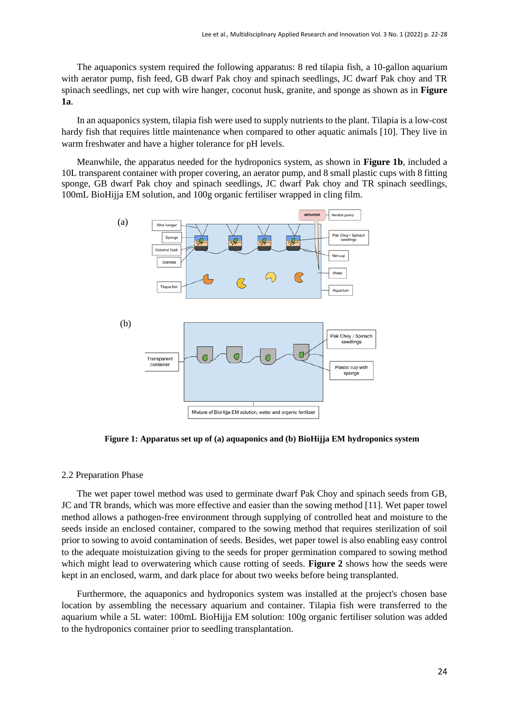The aquaponics system required the following apparatus: 8 red tilapia fish, a 10-gallon aquarium with aerator pump, fish feed, GB dwarf Pak choy and spinach seedlings, JC dwarf Pak choy and TR spinach seedlings, net cup with wire hanger, coconut husk, granite, and sponge as shown as in **Figure 1a**.

In an aquaponics system, tilapia fish were used to supply nutrients to the plant. Tilapia is a low-cost hardy fish that requires little maintenance when compared to other aquatic animals [10]. They live in warm freshwater and have a higher tolerance for pH levels.

Meanwhile, the apparatus needed for the hydroponics system, as shown in **Figure 1b**, included a 10L transparent container with proper covering, an aerator pump, and 8 small plastic cups with 8 fitting sponge, GB dwarf Pak choy and spinach seedlings, JC dwarf Pak choy and TR spinach seedlings, 100mL BioHijja EM solution, and 100g organic fertiliser wrapped in cling film.



**Figure 1: Apparatus set up of (a) aquaponics and (b) BioHijja EM hydroponics system** 

#### 2.2 Preparation Phase

The wet paper towel method was used to germinate dwarf Pak Choy and spinach seeds from GB, JC and TR brands, which was more effective and easier than the sowing method [11]. Wet paper towel method allows a pathogen-free environment through supplying of controlled heat and moisture to the seeds inside an enclosed container, compared to the sowing method that requires sterilization of soil prior to sowing to avoid contamination of seeds. Besides, wet paper towel is also enabling easy control to the adequate moistuization giving to the seeds for proper germination compared to sowing method which might lead to overwatering which cause rotting of seeds. **Figure 2** shows how the seeds were kept in an enclosed, warm, and dark place for about two weeks before being transplanted.

Furthermore, the aquaponics and hydroponics system was installed at the project's chosen base location by assembling the necessary aquarium and container. Tilapia fish were transferred to the aquarium while a 5L water: 100mL BioHijja EM solution: 100g organic fertiliser solution was added to the hydroponics container prior to seedling transplantation.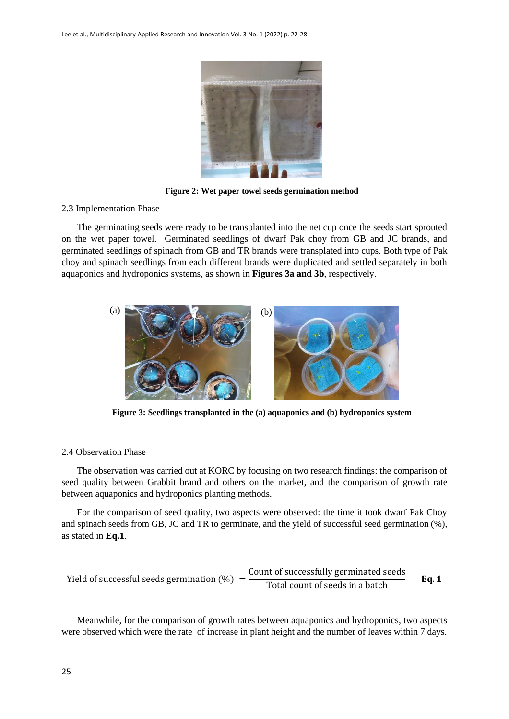

**Figure 2: Wet paper towel seeds germination method**

#### 2.3 Implementation Phase

The germinating seeds were ready to be transplanted into the net cup once the seeds start sprouted on the wet paper towel. Germinated seedlings of dwarf Pak choy from GB and JC brands, and germinated seedlings of spinach from GB and TR brands were transplated into cups. Both type of Pak choy and spinach seedlings from each different brands were duplicated and settled separately in both aquaponics and hydroponics systems, as shown in **Figures 3a and 3b**, respectively.



**Figure 3: Seedlings transplanted in the (a) aquaponics and (b) hydroponics system**

#### 2.4 Observation Phase

The observation was carried out at KORC by focusing on two research findings: the comparison of seed quality between Grabbit brand and others on the market, and the comparison of growth rate between aquaponics and hydroponics planting methods.

For the comparison of seed quality, two aspects were observed: the time it took dwarf Pak Choy and spinach seeds from GB, JC and TR to germinate, and the yield of successful seed germination (%), as stated in **Eq.1**.

Yield of successful seeds germination (
$$
\%
$$
) =  $\frac{\text{Count of successfully germinated seeds}}{\text{Total count of seeds in a batch}}$  Eq. 1

Meanwhile, for the comparison of growth rates between aquaponics and hydroponics, two aspects were observed which were the rate of increase in plant height and the number of leaves within 7 days.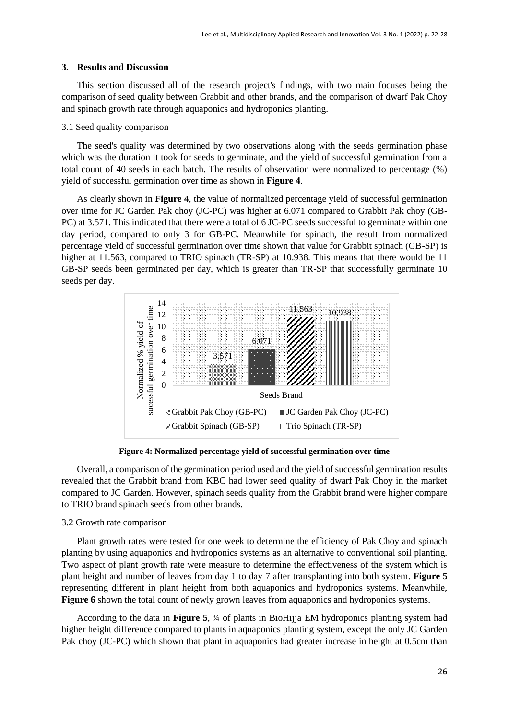#### **3. Results and Discussion**

This section discussed all of the research project's findings, with two main focuses being the comparison of seed quality between Grabbit and other brands, and the comparison of dwarf Pak Choy and spinach growth rate through aquaponics and hydroponics planting.

#### 3.1 Seed quality comparison

The seed's quality was determined by two observations along with the seeds germination phase which was the duration it took for seeds to germinate, and the yield of successful germination from a total count of 40 seeds in each batch. The results of observation were normalized to percentage (%) yield of successful germination over time as shown in **Figure 4**.

As clearly shown in **Figure 4**, the value of normalized percentage yield of successful germination over time for JC Garden Pak choy (JC-PC) was higher at 6.071 compared to Grabbit Pak choy (GB-PC) at 3.571. This indicated that there were a total of 6 JC-PC seeds successful to germinate within one day period, compared to only 3 for GB-PC. Meanwhile for spinach, the result from normalized percentage yield of successful germination over time shown that value for Grabbit spinach (GB-SP) is higher at 11.563, compared to TRIO spinach (TR-SP) at 10.938. This means that there would be 11 GB-SP seeds been germinated per day, which is greater than TR-SP that successfully germinate 10 seeds per day.



**Figure 4: Normalized percentage yield of successful germination over time**

Overall, a comparison of the germination period used and the yield of successful germination results revealed that the Grabbit brand from KBC had lower seed quality of dwarf Pak Choy in the market compared to JC Garden. However, spinach seeds quality from the Grabbit brand were higher compare to TRIO brand spinach seeds from other brands.

#### 3.2 Growth rate comparison

Plant growth rates were tested for one week to determine the efficiency of Pak Choy and spinach planting by using aquaponics and hydroponics systems as an alternative to conventional soil planting. Two aspect of plant growth rate were measure to determine the effectiveness of the system which is plant height and number of leaves from day 1 to day 7 after transplanting into both system. **Figure 5** representing different in plant height from both aquaponics and hydroponics systems. Meanwhile, **Figure** 6 shown the total count of newly grown leaves from aquaponics and hydroponics systems.

According to the data in **Figure 5**, ¾ of plants in BioHijja EM hydroponics planting system had higher height difference compared to plants in aquaponics planting system, except the only JC Garden Pak choy (JC-PC) which shown that plant in aquaponics had greater increase in height at 0.5cm than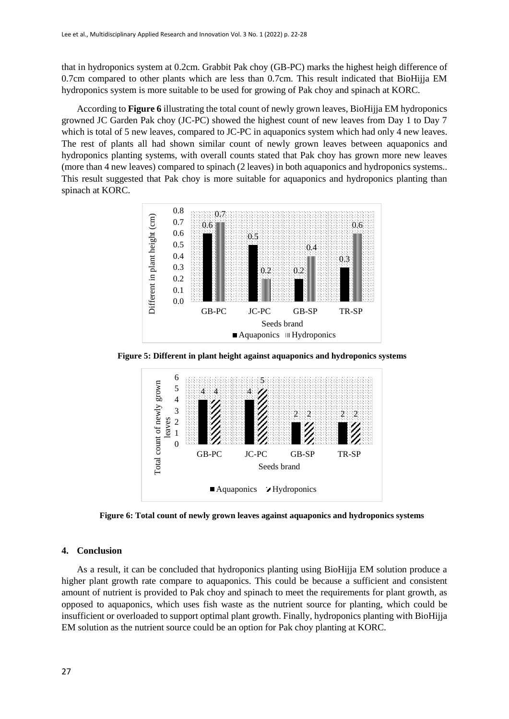that in hydroponics system at 0.2cm. Grabbit Pak choy (GB-PC) marks the highest heigh difference of 0.7cm compared to other plants which are less than 0.7cm. This result indicated that BioHijja EM hydroponics system is more suitable to be used for growing of Pak choy and spinach at KORC.

According to **Figure 6** illustrating the total count of newly grown leaves, BioHijja EM hydroponics growned JC Garden Pak choy (JC-PC) showed the highest count of new leaves from Day 1 to Day 7 which is total of 5 new leaves, compared to JC-PC in aquaponics system which had only 4 new leaves. The rest of plants all had shown similar count of newly grown leaves between aquaponics and hydroponics planting systems, with overall counts stated that Pak choy has grown more new leaves (more than 4 new leaves) compared to spinach (2 leaves) in both aquaponics and hydroponics systems.. This result suggested that Pak choy is more suitable for aquaponics and hydroponics planting than spinach at KORC.



**Figure 5: Different in plant height against aquaponics and hydroponics systems**



**Figure 6: Total count of newly grown leaves against aquaponics and hydroponics systems**

#### **4. Conclusion**

As a result, it can be concluded that hydroponics planting using BioHijja EM solution produce a higher plant growth rate compare to aquaponics. This could be because a sufficient and consistent amount of nutrient is provided to Pak choy and spinach to meet the requirements for plant growth, as opposed to aquaponics, which uses fish waste as the nutrient source for planting, which could be insufficient or overloaded to support optimal plant growth. Finally, hydroponics planting with BioHijja EM solution as the nutrient source could be an option for Pak choy planting at KORC.